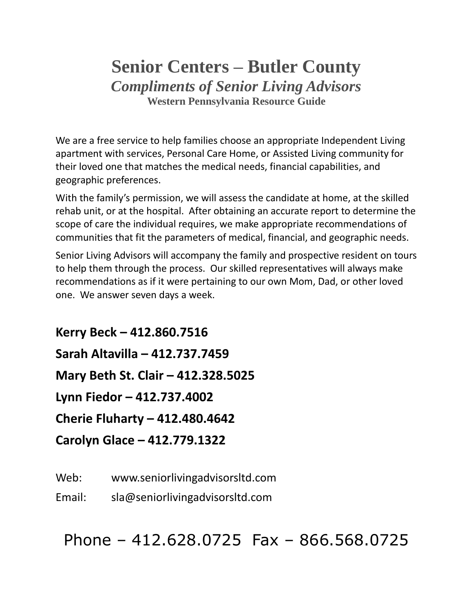# **Senior Centers – Butler County** *Compliments of Senior Living Advisors* **Western Pennsylvania Resource Guide**

We are a free service to help families choose an appropriate Independent Living apartment with services, Personal Care Home, or Assisted Living community for their loved one that matches the medical needs, financial capabilities, and geographic preferences.

With the family's permission, we will assess the candidate at home, at the skilled rehab unit, or at the hospital. After obtaining an accurate report to determine the scope of care the individual requires, we make appropriate recommendations of communities that fit the parameters of medical, financial, and geographic needs.

Senior Living Advisors will accompany the family and prospective resident on tours to help them through the process. Our skilled representatives will always make recommendations as if it were pertaining to our own Mom, Dad, or other loved one. We answer seven days a week.

**Kerry Beck – 412.860.7516 Sarah Altavilla – 412.737.7459 Mary Beth St. Clair – 412.328.5025 Lynn Fiedor – 412.737.4002 Cherie Fluharty – 412.480.4642 Carolyn Glace – 412.779.1322**

Web: www.seniorlivingadvisorsltd.com

Email: sla@seniorlivingadvisorsltd.com

Phone – 412.628.0725 Fax – 866.568.0725